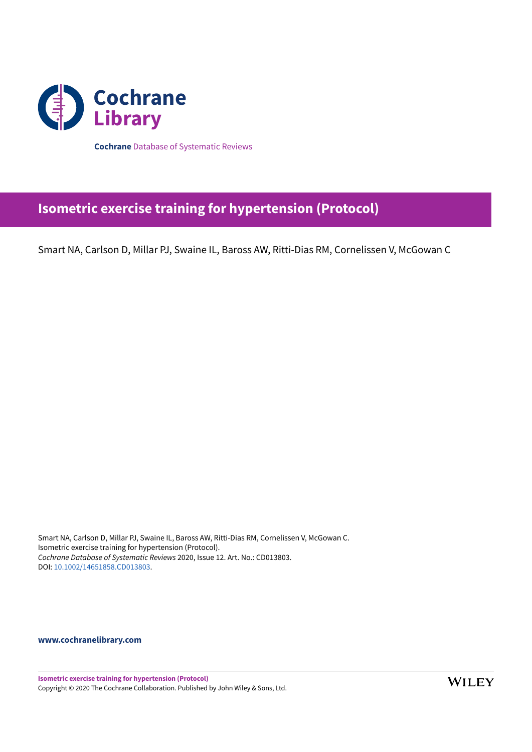

**Cochrane** Database of Systematic Reviews

# **Isometric exercise training for hypertension (Protocol)**

Smart NA, Carlson D, Millar PJ, Swaine IL, Baross AW, Ritti-Dias RM, Cornelissen V, McGowan C

Smart NA, Carlson D, Millar PJ, Swaine IL, Baross AW, Ritti-Dias RM, Cornelissen V, McGowan C. Isometric exercise training for hypertension (Protocol). *Cochrane Database of Systematic Reviews* 2020, Issue 12. Art. No.: CD013803. DOI: [10.1002/14651858.CD013803](https://doi.org/10.1002%2F14651858.CD013803).

**[www.cochranelibrary.com](https://www.cochranelibrary.com)**

**Isometric exercise training for hypertension (Protocol)** Copyright © 2020 The Cochrane Collaboration. Published by John Wiley & Sons, Ltd.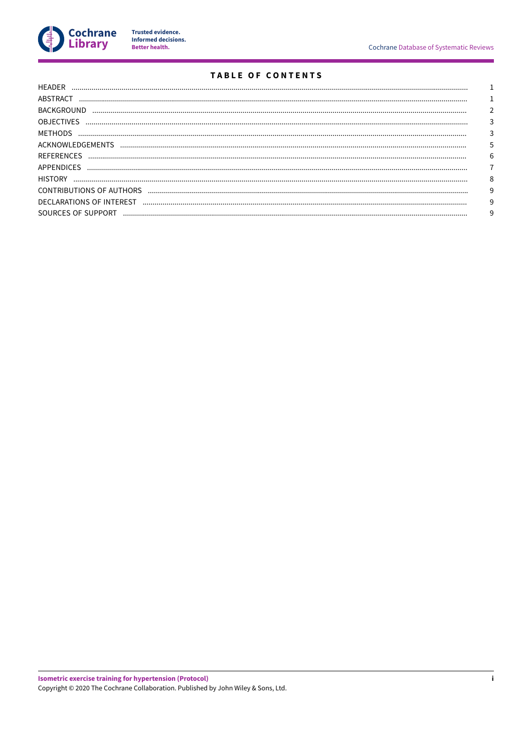

Trusted evidence.<br>Informed decisions.<br>Better health.

# TABLE OF CONTENTS

| HEADER             |   |
|--------------------|---|
| ABSTRACT           |   |
| <b>BACKGROUND</b>  |   |
| <b>OBJECTIVES</b>  |   |
| METHODS            |   |
|                    |   |
|                    | 6 |
| <b>APPENDICES</b>  |   |
| <b>HISTORY</b>     | 8 |
|                    |   |
|                    |   |
| SOURCES OF SUPPORT |   |
|                    |   |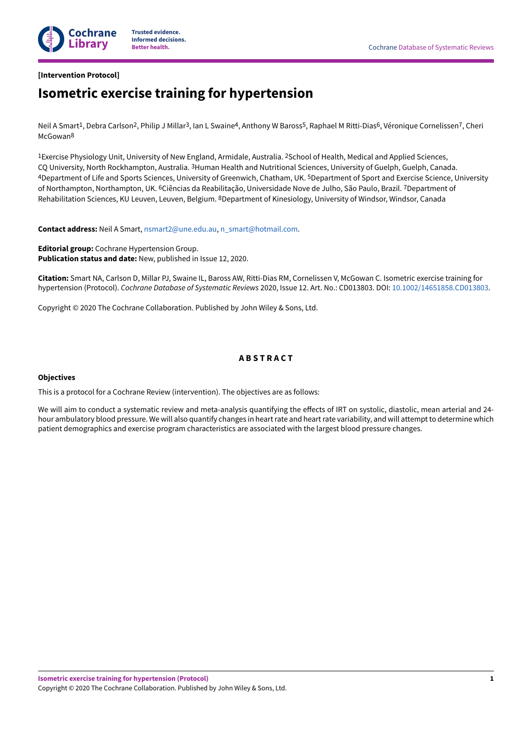

# <span id="page-2-0"></span>**[Intervention Protocol]**

# **Isometric exercise training for hypertension**

Neil A Smart<sup>1</sup>, Debra Carlson<sup>2</sup>, Philip J Millar<sup>3</sup>, Ian L Swaine<sup>4</sup>, Anthony W Baross<sup>5</sup>, Raphael M Ritti-Dias<sup>6</sup>, Véronique Cornelissen<sup>7</sup>, Cheri McGowan<sup>8</sup>

<sup>1</sup>Exercise Physiology Unit, University of New England, Armidale, Australia. <sup>2</sup>School of Health, Medical and Applied Sciences, CQ University, North Rockhampton, Australia. <sup>3</sup>Human Health and Nutritional Sciences, University of Guelph, Guelph, Canada. 4Department of Life and Sports Sciences, University of Greenwich, Chatham, UK. <sup>5</sup>Department of Sport and Exercise Science, University of Northampton, Northampton, UK. <sup>6</sup>Ciências da Reabilitação, Universidade Nove de Julho, São Paulo, Brazil. <sup>7</sup>Department of Rehabilitation Sciences, KU Leuven, Leuven, Belgium. <sup>8</sup>Department of Kinesiology, University of Windsor, Windsor, Canada

**Contact address:** Neil A Smart, [nsmart2@une.edu.au,](mailto:nsmart2@une.edu.au) [n\\_smart@hotmail.com](mailto:n_smart@hotmail.com).

**Editorial group:** Cochrane Hypertension Group. **Publication status and date:** New, published in Issue 12, 2020.

**Citation:** Smart NA, Carlson D, Millar PJ, Swaine IL, Baross AW, Ritti-Dias RM, Cornelissen V, McGowan C. Isometric exercise training for hypertension (Protocol). *Cochrane Database of Systematic Reviews* 2020, Issue 12. Art. No.: CD013803. DOI: [10.1002/14651858.CD013803.](https://doi.org/10.1002%2F14651858.CD013803)

Copyright © 2020 The Cochrane Collaboration. Published by John Wiley & Sons, Ltd.

# **A B S T R A C T**

#### <span id="page-2-1"></span>**Objectives**

This is a protocol for a Cochrane Review (intervention). The objectives are as follows:

We will aim to conduct a systematic review and meta-analysis quantifying the effects of IRT on systolic, diastolic, mean arterial and 24hour ambulatory blood pressure. We will also quantify changes in heart rate and heart rate variability, and will attempt to determine which patient demographics and exercise program characteristics are associated with the largest blood pressure changes.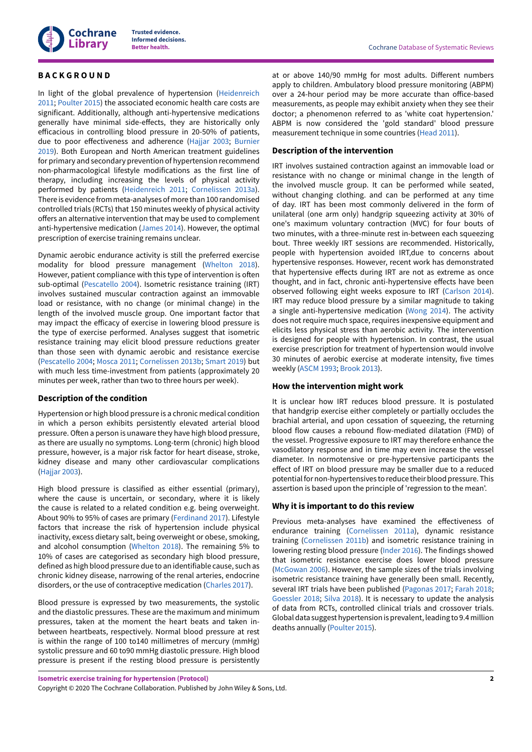

# <span id="page-3-0"></span>**B A C K G R O U N D**

In light of the global prevalence of hypertension ([Heidenreich](#page-7-1) [2011](#page-7-1); [Poulter](#page-8-1) 2015) the associated economic health care costs are significant. Additionally, although anti-hypertensive medications generally have minimal side-effects, they are historically only efficacious in controlling blood pressure in 20-50% of patients, due to poor effectiveness and adherence ([Hajjar 2003](#page-7-2); [Burnier](#page-7-3) [2019](#page-7-3)). Both European and North American treatment guidelines for primary and secondary prevention of hypertension recommend non-pharmacological lifestyle modifications as the first line of therapy, including increasing the levels of physical activity performed by patients [\(Heidenreich](#page-7-1) 2011; [Cornelissen 2013a\)](#page-7-4). There is evidence from meta-analyses of more than 100 randomised controlled trials (RCTs) that 150 minutes weekly of physical activity offers an alternative intervention that may be used to complement anti-hypertensive medication [\(James 2014\)](#page-8-2). However, the optimal prescription of exercise training remains unclear.

Dynamic aerobic endurance activity is still the preferred exercise modality for blood pressure management [\(Whelton](#page-8-3) 2018). However, patient compliance with this type of intervention is often sub-optimal [\(Pescatello](#page-8-4) 2004). Isometric resistance training (IRT) involves sustained muscular contraction against an immovable load or resistance, with no change (or minimal change) in the length of the involved muscle group. One important factor that may impact the efficacy of exercise in lowering blood pressure is the type of exercise performed. Analyses suggest that isometric resistance training may elicit blood pressure reductions greater than those seen with dynamic aerobic and resistance exercise [\(Pescatello](#page-8-4) 2004; [Mosca](#page-8-5) 2011; [Cornelissen 2013b](#page-7-5); [Smart 2019\)](#page-8-6) but with much less time-investment from patients (approximately 20 minutes per week, rather than two to three hours per week).

# **Description of the condition**

Hypertension or high blood pressure is a chronic medical condition in which a person exhibits persistently elevated arterial blood pressure. Often a person is unaware they have high blood pressure, as there are usually no symptoms. Long-term (chronic) high blood pressure, however, is a major risk factor for heart disease, stroke, kidney disease and many other cardiovascular complications [\(Hajjar 2003](#page-7-2)).

High blood pressure is classified as either essential (primary), where the cause is uncertain, or secondary, where it is likely the cause is related to a related condition e.g. being overweight. About 90% to 95% of cases are primary [\(Ferdinand](#page-7-6) 2017). Lifestyle factors that increase the risk of hypertension include physical inactivity, excess dietary salt, being overweight or obese, smoking, and alcohol consumption [\(Whelton](#page-8-3) 2018). The remaining 5% to 10% of cases are categorised as secondary high blood pressure, defined as high blood pressure due to an identifiable cause, such as chronic kidney disease, narrowing of the renal arteries, endocrine disorders, or the use of contraceptive medication [\(Charles 2017](#page-7-7)).

Blood pressure is expressed by two measurements, the systolic and the diastolic pressures. These are the maximum and minimum pressures, taken at the moment the heart beats and taken inbetween heartbeats, respectively. Normal blood pressure at rest is within the range of 100 to140 millimetres of mercury (mmHg) systolic pressure and 60 to90 mmHg diastolic pressure. High blood pressure is present if the resting blood pressure is persistently

at or above 140/90 mmHg for most adults. Different numbers apply to children. Ambulatory blood pressure monitoring (ABPM) over a 24-hour period may be more accurate than office-based measurements, as people may exhibit anxiety when they see their doctor; a phenomenon referred to as 'white coat hypertension.' ABPM is now considered the 'gold standard' blood pressure measurement technique in some countries ([Head](#page-7-8) 2011).

# **Description of the intervention**

IRT involves sustained contraction against an immovable load or resistance with no change or minimal change in the length of the involved muscle group. It can be performed while seated, without changing clothing. and can be performed at any time of day. IRT has been most commonly delivered in the form of unilateral (one arm only) handgrip squeezing activity at 30% of one's maximum voluntary contraction (MVC) for four bouts of two minutes, with a three-minute rest in-between each squeezing bout. Three weekly IRT sessions are recommended. Historically, people with hypertension avoided IRT,due to concerns about hypertensive responses. However, recent work has demonstrated that hypertensive effects during IRT are not as extreme as once thought, and in fact, chronic anti-hypertensive effects have been observed following eight weeks exposure to IRT ([Carlson 2014\)](#page-7-9). IRT may reduce blood pressure by a similar magnitude to taking a single anti-hypertensive medication ([Wong 2014](#page-8-7)). The activity does not require much space, requires inexpensive equipment and elicits less physical stress than aerobic activity. The intervention is designed for people with hypertension. In contrast, the usual exercise prescription for treatment of hypertension would involve 30 minutes of aerobic exercise at moderate intensity, five times weekly ([ASCM 1993;](#page-7-10) [Brook](#page-7-11) 2013).

#### **How the intervention might work**

It is unclear how IRT reduces blood pressure. It is postulated that handgrip exercise either completely or partially occludes the brachial arterial, and upon cessation of squeezing, the returning blood flow causes a rebound flow-mediated dilatation (FMD) of the vessel. Progressive exposure to IRT may therefore enhance the vasodilatory response and in time may even increase the vessel diameter. In normotensive or pre-hypertensive participants the effect of IRT on blood pressure may be smaller due to a reduced potential for non-hypertensives to reduce their blood pressure. This assertion is based upon the principle of 'regression to the mean'.

#### **Why it is important to do this review**

Previous meta-analyses have examined the effectiveness of endurance training ([Cornelissen 2011a\)](#page-7-12), dynamic resistance training ([Cornelissen 2011b](#page-7-13)) and isometric resistance training in lowering resting blood pressure [\(Inder 2016](#page-8-8)). The findings showed that isometric resistance exercise does lower blood pressure [\(McGowan](#page-8-9) 2006). However, the sample sizes of the trials involving isometric resistance training have generally been small. Recently, several IRT trials have been published [\(Pagonas](#page-8-10) 2017; [Farah](#page-7-14) 2018; [Goessler 2018;](#page-7-15) Silva [2018\)](#page-8-11). It is necessary to update the analysis of data from RCTs, controlled clinical trials and crossover trials. Global data suggest hypertension is prevalent, leading to 9.4 million deaths annually [\(Poulter](#page-8-1) 2015).

**Isometric exercise training for hypertension (Protocol)**

Copyright © 2020 The Cochrane Collaboration. Published by John Wiley & Sons, Ltd.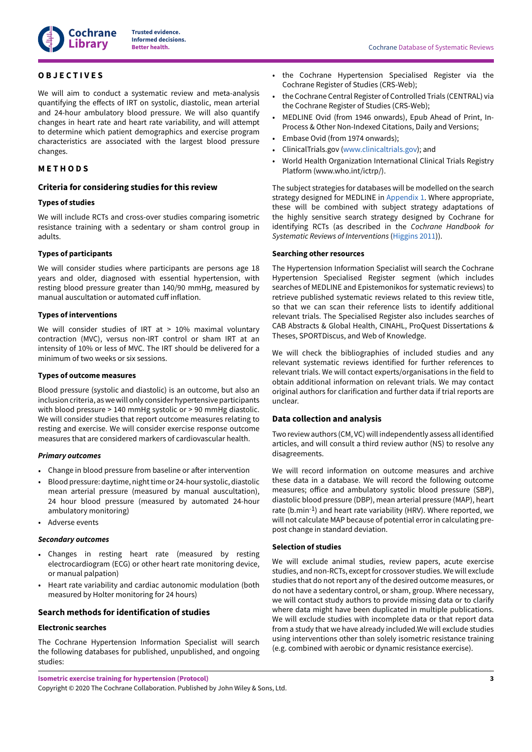

# <span id="page-4-0"></span>**O B J E C T I V E S**

We will aim to conduct a systematic review and meta-analysis quantifying the effects of IRT on systolic, diastolic, mean arterial and 24-hour ambulatory blood pressure. We will also quantify changes in heart rate and heart rate variability, and will attempt to determine which patient demographics and exercise program characteristics are associated with the largest blood pressure changes.

# <span id="page-4-1"></span>**M E T H O D S**

# **Criteria for considering studies for this review**

#### **Types of studies**

We will include RCTs and cross-over studies comparing isometric resistance training with a sedentary or sham control group in adults.

#### **Types of participants**

We will consider studies where participants are persons age 18 years and older, diagnosed with essential hypertension, with resting blood pressure greater than 140/90 mmHg, measured by manual auscultation or automated cuff inflation.

#### **Types of interventions**

We will consider studies of IRT at  $> 10\%$  maximal voluntary contraction (MVC), versus non-IRT control or sham IRT at an intensity of 10% or less of MVC. The IRT should be delivered for a minimum of two weeks or six sessions.

# **Types of outcome measures**

Blood pressure (systolic and diastolic) is an outcome, but also an inclusion criteria, aswewill only consider hypertensive participants with blood pressure > 140 mmHg systolic or > 90 mmHg diastolic. We will consider studies that report outcome measures relating to resting and exercise. We will consider exercise response outcome measures that are considered markers of cardiovascular health.

#### *Primary outcomes*

- Change in blood pressure from baseline or after intervention
- Blood pressure: daytime, night time or 24-hour systolic, diastolic mean arterial pressure (measured by manual auscultation), 24 hour blood pressure (measured by automated 24-hour ambulatory monitoring)
- Adverse events

#### *Secondary outcomes*

- Changes in resting heart rate (measured by resting electrocardiogram (ECG) or other heart rate monitoring device, or manual palpation)
- Heart rate variability and cardiac autonomic modulation (both measured by Holter monitoring for 24 hours)

# **Search methods for identification of studies**

#### **Electronic searches**

The Cochrane Hypertension Information Specialist will search the following databases for published, unpublished, and ongoing studies:

**Better health.** Cochrane Database of Systematic Reviews

- the Cochrane Hypertension Specialised Register via the Cochrane Register of Studies (CRS-Web);
- the Cochrane Central Register of Controlled Trials (CENTRAL) via the Cochrane Register of Studies (CRS-Web);
- MEDLINE Ovid (from 1946 onwards), Epub Ahead of Print, In-Process & Other Non-Indexed Citations, Daily and Versions;
- Embase Ovid (from 1974 onwards);
- ClinicalTrials.gov [\(www.clinicaltrials.gov\)](http://www.clinicaltrials.gov); and
- World Health Organization International Clinical Trials Registry Platform (www.who.int/ictrp/).

The subject strategies for databases will be modelled on the search strategy designed for MEDLINE in [Appendix 1](#page-8-12). Where appropriate, these will be combined with subject strategy adaptations of the highly sensitive search strategy designed by Cochrane for identifying RCTs (as described in the *Cochrane Handbook for Systematic Reviews of Interventions* ([Higgins 2011\)](#page-8-13)).

#### **Searching other resources**

The Hypertension Information Specialist will search the Cochrane Hypertension Specialised Register segment (which includes searches of MEDLINE and Epistemonikos for systematic reviews) to retrieve published systematic reviews related to this review title, so that we can scan their reference lists to identify additional relevant trials. The Specialised Register also includes searches of CAB Abstracts & Global Health, CINAHL, ProQuest Dissertations & Theses, SPORTDiscus, and Web of Knowledge.

We will check the bibliographies of included studies and any relevant systematic reviews identified for further references to relevant trials. We will contact experts/organisations in the field to obtain additional information on relevant trials. We may contact original authors for clarification and further data if trial reports are unclear.

# **Data collection and analysis**

Two review authors (CM, VC) will independently assess all identified articles, and will consult a third review author (NS) to resolve any disagreements.

We will record information on outcome measures and archive these data in a database. We will record the following outcome measures; office and ambulatory systolic blood pressure (SBP), diastolic blood pressure (DBP), mean arterial pressure (MAP), heart rate (b.min-1) and heart rate variability (HRV). Where reported, we will not calculate MAP because of potential error in calculating prepost change in standard deviation.

# **Selection of studies**

We will exclude animal studies, review papers, acute exercise studies, and non-RCTs, except for crossover studies. We will exclude studies that do not report any of the desired outcome measures, or do not have a sedentary control, or sham, group. Where necessary, we will contact study authors to provide missing data or to clarify where data might have been duplicated in multiple publications. We will exclude studies with incomplete data or that report data from a study that we have already included.We will exclude studies using interventions other than solely isometric resistance training (e.g. combined with aerobic or dynamic resistance exercise).

**Isometric exercise training for hypertension (Protocol)**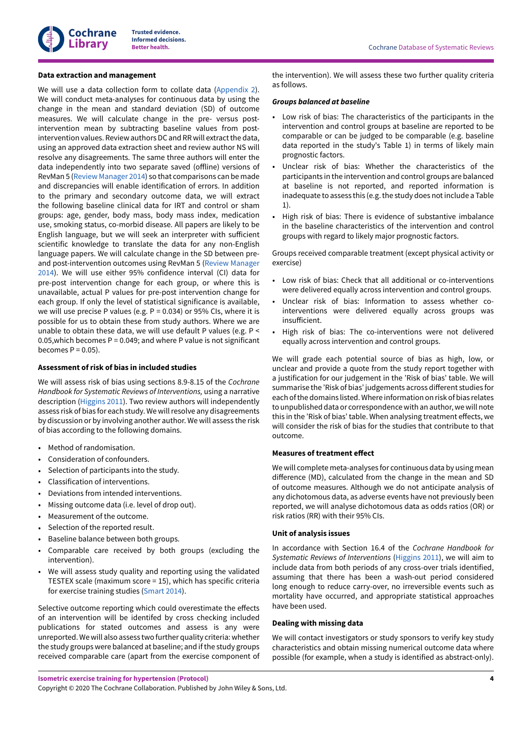

#### **Data extraction and management**

We will use a data collection form to collate data [\(Appendix 2\)](#page-9-1). We will conduct meta-analyses for continuous data by using the change in the mean and standard deviation (SD) of outcome measures. We will calculate change in the pre- versus postintervention mean by subtracting baseline values from postintervention values. Review authors DC and RR will extract the data, using an approved data extraction sheet and review author NS will resolve any disagreements. The same three authors will enter the data independently into two separate saved (offline) versions of RevMan 5 (Review [Manager](#page-8-14) 2014) so that comparisons can be made and discrepancies will enable identification of errors. In addition to the primary and secondary outcome data, we will extract the following baseline clinical data for IRT and control or sham groups: age, gender, body mass, body mass index, medication use, smoking status, co-morbid disease. All papers are likely to be English language, but we will seek an interpreter with sufficient scientific knowledge to translate the data for any non-English language papers. We will calculate change in the SD between preand post-intervention outcomes using RevMan 5 (Review [Manager](#page-8-14) [2014](#page-8-14)). We will use either 95% confidence interval (CI) data for pre-post intervention change for each group, or where this is unavailable, actual P values for pre-post intervention change for each group. If only the level of statistical significance is available, we will use precise P values (e.g. P = 0.034) or 95% CIs, where it is possible for us to obtain these from study authors. Where we are unable to obtain these data, we will use default P values (e.g. P < 0.05, which becomes  $P = 0.049$ ; and where P value is not significant becomes  $P = 0.05$ ).

#### **Assessment of risk of bias in included studies**

We will assess risk of bias using sections 8.9-8.15 of the *Cochrane Handbook for Systematic Reviews of Interventions,* using a narrative description ([Higgins 2011\)](#page-8-13). Two review authors will independently assess risk of bias for each study. We will resolve any disagreements by discussion or by involving another author. We will assess the risk of bias according to the following domains.

- Method of randomisation.
- Consideration of confounders.
- Selection of participants into the study.
- Classification of interventions.
- Deviations from intended interventions.
- Missing outcome data (i.e. level of drop out).
- Measurement of the outcome.
- Selection of the reported result.
- Baseline balance between both groups.
- Comparable care received by both groups (excluding the intervention).
- We will assess study quality and reporting using the validated TESTEX scale (maximum score = 15), which has specific criteria for exercise training studies ([Smart 2014\)](#page-8-15).

Selective outcome reporting which could overestimate the effects of an intervention will be identifed by cross checking included publications for stated outcomes and assess is any were unreported.We will also assess two further quality criteria: whether the study groups were balanced at baseline; and ifthe study groups received comparable care (apart from the exercise component of the intervention). We will assess these two further quality criteria as follows.

#### *Groups balanced at baseline*

- Low risk of bias: The characteristics of the participants in the intervention and control groups at baseline are reported to be comparable or can be judged to be comparable (e.g. baseline data reported in the study's Table 1) in terms of likely main prognostic factors.
- Unclear risk of bias: Whether the characteristics of the participants in the intervention and control groups are balanced at baseline is not reported, and reported information is inadequate to assess this (e.g. the study does not include a Table 1).
- High risk of bias: There is evidence of substantive imbalance in the baseline characteristics of the intervention and control groups with regard to likely major prognostic factors.

Groups received comparable treatment (except physical activity or exercise)

- Low risk of bias: Check that all additional or co-interventions were delivered equally across intervention and control groups.
- Unclear risk of bias: Information to assess whether cointerventions were delivered equally across groups was insufficient.
- High risk of bias: The co-interventions were not delivered equally across intervention and control groups.

We will grade each potential source of bias as high, low, or unclear and provide a quote from the study report together with a justification for our judgement in the 'Risk of bias' table. We will summarise the 'Risk of bias' judgements across different studies for each ofthe domains listed.Where information on risk of bias relates to unpublished data or correspondence with an author, we will note this in the 'Risk of bias' table. When analysing treatment effects, we will consider the risk of bias for the studies that contribute to that outcome.

#### **Measures of treatment effect**

We will complete meta-analyses for continuous data by using mean difference (MD), calculated from the change in the mean and SD of outcome measures. Although we do not anticipate analysis of any dichotomous data, as adverse events have not previously been reported, we will analyse dichotomous data as odds ratios (OR) or risk ratios (RR) with their 95% CIs.

# **Unit of analysis issues**

In accordance with Section 16.4 of the *Cochrane Handbook for Systematic Reviews of Interventions* ([Higgins 2011](#page-8-13)), we will aim to include data from both periods of any cross-over trials identified, assuming that there has been a wash-out period considered long enough to reduce carry-over, no irreversible events such as mortality have occurred, and appropriate statistical approaches have been used.

#### **Dealing with missing data**

We will contact investigators or study sponsors to verify key study characteristics and obtain missing numerical outcome data where possible (for example, when a study is identified as abstract-only).

**Isometric exercise training for hypertension (Protocol)**

Copyright © 2020 The Cochrane Collaboration. Published by John Wiley & Sons, Ltd.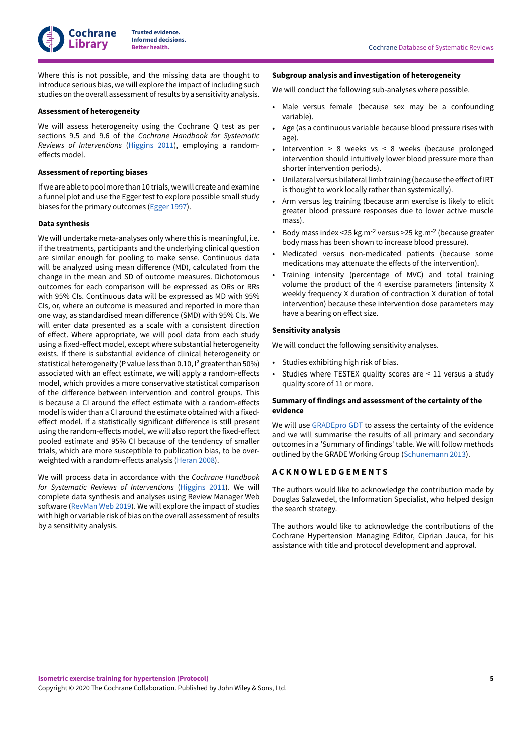Where this is not possible, and the missing data are thought to introduce serious bias, we will explore the impact of including such studies on the overall assessment ofresults by a sensitivity analysis.

#### **Assessment of heterogeneity**

**Cochrane Library**

We will assess heterogeneity using the Cochrane Q test as per sections 9.5 and 9.6 of the *Cochrane Handbook for Systematic Reviews of Interventions* ([Higgins 2011\)](#page-8-13), employing a randomeffects model.

# **Assessment of reporting biases**

If we are able to pool more than 10 trials, we will create and examine a funnel plot and use the Egger test to explore possible small study biases for the primary outcomes ([Egger](#page-7-16) 1997).

#### **Data synthesis**

We will undertake meta-analyses only where this is meaningful, i.e. if the treatments, participants and the underlying clinical question are similar enough for pooling to make sense. Continuous data will be analyzed using mean difference (MD), calculated from the change in the mean and SD of outcome measures. Dichotomous outcomes for each comparison will be expressed as ORs or RRs with 95% CIs. Continuous data will be expressed as MD with 95% CIs, or, where an outcome is measured and reported in more than one way, as standardised mean difference (SMD) with 95% CIs. We will enter data presented as a scale with a consistent direction of effect. Where appropriate, we will pool data from each study using a fixed-effect model, except where substantial heterogeneity exists. If there is substantial evidence of clinical heterogeneity or statistical heterogeneity (P value less than 0.10,  $I^2$  greater than 50%) associated with an effect estimate, we will apply a random-effects model, which provides a more conservative statistical comparison of the difference between intervention and control groups. This is because a CI around the effect estimate with a random-effects model is wider than a CI around the estimate obtained with a fixedeffect model. If a statistically significant difference is still present using the random-effects model, we will also report the fixed-effect pooled estimate and 95% CI because of the tendency of smaller trials, which are more susceptible to publication bias, to be over-weighted with a random-effects analysis ([Heran](#page-7-17) 2008).

We will process data in accordance with the *Cochrane Handbook for Systematic Reviews of Interventions* ([Higgins 2011](#page-8-13)). We will complete data synthesis and analyses using Review Manager Web software [\(RevMan](#page-8-16) Web 2019). We will explore the impact of studies with high or variable risk of bias on the overall assessment ofresults by a sensitivity analysis.

#### **Subgroup analysis and investigation of heterogeneity**

We will conduct the following sub-analyses where possible.

- Male versus female (because sex may be a confounding variable).
- Age (as a continuous variable because blood pressure rises with age).
- Intervention > 8 weeks vs  $\leq$  8 weeks (because prolonged intervention should intuitively lower blood pressure more than shorter intervention periods).
- Unilateral versus bilateral limb training (because the effect of IRT is thought to work locally rather than systemically).
- Arm versus leg training (because arm exercise is likely to elicit greater blood pressure responses due to lower active muscle mass).
- Body mass index <25 kg.m-2 versus >25 kg.m-2 (because greater body mass has been shown to increase blood pressure).
- Medicated versus non-medicated patients (because some medications may attenuate the effects of the intervention).
- Training intensity (percentage of MVC) and total training volume the product of the 4 exercise parameters (intensity X weekly frequency X duration of contraction X duration of total intervention) because these intervention dose parameters may have a bearing on effect size.

#### **Sensitivity analysis**

We will conduct the following sensitivity analyses.

- Studies exhibiting high risk of bias.
- Studies where TESTEX quality scores are < 11 versus a study quality score of 11 or more.

# **Summary of findings and assessment of the certainty of the evidence**

We will use [GRADEpro](#page-7-18) GDT to assess the certainty of the evidence and we will summarise the results of all primary and secondary outcomes in a 'Summary of findings' table. We will follow methods outlined by the GRADE Working Group ([Schunemann 2013](#page-8-17)).

# <span id="page-6-0"></span>**A C K N O W L E D G E M E N T S**

The authors would like to acknowledge the contribution made by Douglas Salzwedel, the Information Specialist, who helped design the search strategy.

The authors would like to acknowledge the contributions of the Cochrane Hypertension Managing Editor, Ciprian Jauca, for his assistance with title and protocol development and approval.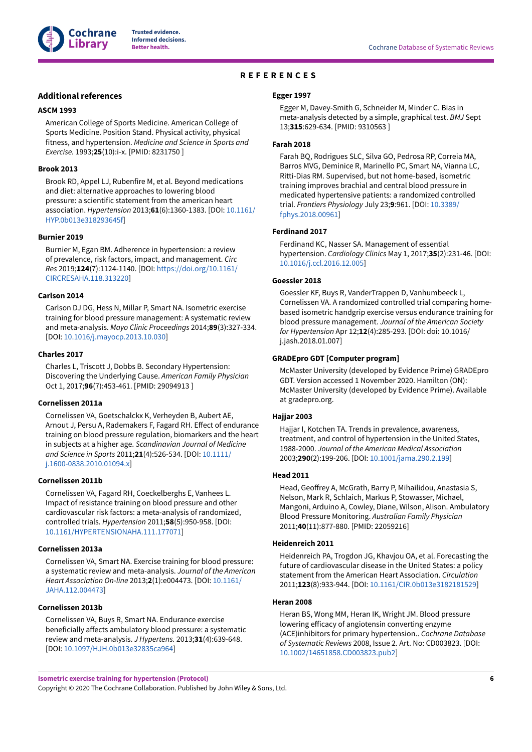

# **REFERENCES**

# <span id="page-7-0"></span>**Additional references**

#### <span id="page-7-10"></span>**ASCM 1993**

American College of Sports Medicine. American College of Sports Medicine. Position Stand. Physical activity, physical fitness, and hypertension. *Medicine and Science in Sports and Exercise.* 1993;**25**(10):i-x. [PMID: 8231750 ]

# <span id="page-7-11"></span>**Brook 2013**

Brook RD, Appel LJ, Rubenfire M, et al. Beyond medications and diet: alternative approaches to lowering blood pressure: a scientific statement from the american heart association. *Hypertension* 2013;**61**(6):1360-1383. [DOI: [10.1161/](https://doi.org/10.1161%2FHYP.0b013e318293645f) [HYP.0b013e318293645f\]](https://doi.org/10.1161%2FHYP.0b013e318293645f)

#### <span id="page-7-3"></span>**Burnier 2019**

Burnier M, Egan BM. Adherence in hypertension: a review of prevalence, risk factors, impact, and management. *Circ Res* 2019;**124**(7):1124-1140. [DOI: [https://doi.org/10.1161/](https://doi.org/https%3A%2F%2Fdoi.org%2F10.1161%2FCIRCRESAHA.118.313220) [CIRCRESAHA.118.313220\]](https://doi.org/https%3A%2F%2Fdoi.org%2F10.1161%2FCIRCRESAHA.118.313220)

#### <span id="page-7-9"></span>**Carlson 2014**

Carlson DJ DG, Hess N, Millar P, Smart NA. Isometric exercise training for blood pressure management: A systematic review and meta-analysis. *Mayo Clinic Proceedings* 2014;**89**(3):327-334. [DOI: [10.1016/j.mayocp.2013.10.030](https://doi.org/10.1016%2Fj.mayocp.2013.10.030)]

#### <span id="page-7-7"></span>**Charles 2017**

Charles L, Triscott J, Dobbs B. Secondary Hypertension: Discovering the Underlying Cause. *American Family Physician* Oct 1, 2017;**96**(7):453-461. [PMID: 29094913 ]

#### <span id="page-7-12"></span>**Cornelissen 2011a**

Cornelissen VA, Goetschalckx K, Verheyden B, Aubert AE, Arnout J, Persu A, Rademakers F, Fagard RH. Effect of endurance training on blood pressure regulation, biomarkers and the heart in subjects at a higher age. *Scandinavian Journal of Medicine and Science in Sports* 2011;**21**(4):526-534. [DOI: [10.1111/](https://doi.org/10.1111%2Fj.1600-0838.2010.01094.x) [j.1600-0838.2010.01094.x](https://doi.org/10.1111%2Fj.1600-0838.2010.01094.x)]

#### <span id="page-7-13"></span>**Cornelissen 2011b**

Cornelissen VA, Fagard RH, Coeckelberghs E, Vanhees L. Impact of resistance training on blood pressure and other cardiovascular risk factors: a meta-analysis of randomized, controlled trials. *Hypertension* 2011;**58**(5):950-958. [DOI: [10.1161/HYPERTENSIONAHA.111.177071\]](https://doi.org/10.1161%2FHYPERTENSIONAHA.111.177071)

#### <span id="page-7-4"></span>**Cornelissen 2013a**

Cornelissen VA, Smart NA. Exercise training for blood pressure: a systematic review and meta-analysis. *Journal of the American Heart Association On-line* 2013;**2**(1):e004473. [DOI: [10.1161/](https://doi.org/10.1161%2FJAHA.112.004473) [JAHA.112.004473\]](https://doi.org/10.1161%2FJAHA.112.004473)

# <span id="page-7-5"></span>**Cornelissen 2013b**

Cornelissen VA, Buys R, Smart NA. Endurance exercise beneficially affects ambulatory blood pressure: a systematic review and meta-analysis. *J Hypertens.* 2013;**31**(4):639-648. [DOI: [10.1097/HJH.0b013e32835ca964\]](https://doi.org/10.1097%2FHJH.0b013e32835ca964)

#### <span id="page-7-16"></span>**Egger 1997**

Egger M, Davey-Smith G, Schneider M, Minder C. Bias in meta-analysis detected by a simple, graphical test. *BMJ* Sept 13;**315**:629-634. [PMID: 9310563 ]

#### <span id="page-7-14"></span>**Farah 2018**

Farah BQ, Rodrigues SLC, Silva GO, Pedrosa RP, Correia MA, Barros MVG, Deminice R, Marinello PC, Smart NA, Vianna LC, Ritti-Dias RM. Supervised, but not home-based, isometric training improves brachial and central blood pressure in medicated hypertensive patients: a randomized controlled trial. *Frontiers Physiology* July 23;**9**:961. [DOI: [10.3389/](https://doi.org/10.3389%2Ffphys.2018.00961) [fphys.2018.00961](https://doi.org/10.3389%2Ffphys.2018.00961)]

# <span id="page-7-6"></span>**Ferdinand 2017**

Ferdinand KC, Nasser SA. Management of essential hypertension. *Cardiology Clinics* May 1, 2017;**35**(2):231-46. [DOI: [10.1016/j.ccl.2016.12.005](https://doi.org/10.1016%2Fj.ccl.2016.12.005)]

#### <span id="page-7-15"></span>**Goessler 2018**

Goessler KF, Buys R, VanderTrappen D, Vanhumbeeck L, Cornelissen VA. A randomized controlled trial comparing homebased isometric handgrip exercise versus endurance training for blood pressure management. *Journal of the American Society for Hypertension* Apr 12;**12**(4):285-293. [DOI: doi: 10.1016/ j.jash.2018.01.007]

#### <span id="page-7-18"></span>**GRADEpro GDT [Computer program]**

McMaster University (developed by Evidence Prime) GRADEpro GDT. Version accessed 1 November 2020. Hamilton (ON): McMaster University (developed by Evidence Prime). Available at gradepro.org.

#### <span id="page-7-2"></span>**Hajjar 2003**

Hajjar I, Kotchen TA. Trends in prevalence, awareness, treatment, and control of hypertension in the United States, 1988-2000. *Journal of the American Medical Association* 2003;**290**(2):199-206. [DOI: [10.1001/jama.290.2.199](https://doi.org/10.1001%2Fjama.290.2.199)]

#### <span id="page-7-8"></span>**Head 2011**

Head, Geoffrey A, McGrath, Barry P, Mihailidou, Anastasia S, Nelson, Mark R, Schlaich, Markus P, Stowasser, Michael, Mangoni, Arduino A, Cowley, Diane, Wilson, Alison. Ambulatory Blood Pressure Monitoring. *Australian Family Physician* 2011;**40**(11):877-880. [PMID: 22059216]

# <span id="page-7-1"></span>**Heidenreich 2011**

Heidenreich PA, Trogdon JG, Khavjou OA, et al. Forecasting the future of cardiovascular disease in the United States: a policy statement from the American Heart Association. *Circulation* 2011;**123**(8):933-944. [DOI: [10.1161/CIR.0b013e3182181529](https://doi.org/10.1161%2FCIR.0b013e3182181529)]

## <span id="page-7-17"></span>**Heran 2008**

Heran BS, Wong MM, Heran IK, Wright JM. Blood pressure lowering efficacy of angiotensin converting enzyme (ACE)inhibitors for primary hypertension.. *Cochrane Database of Systematic Reviews* 2008, Issue 2. Art. No: CD003823. [DOI: [10.1002/14651858.CD003823.pub2\]](https://doi.org/10.1002%2F14651858.CD003823.pub2)

**Isometric exercise training for hypertension (Protocol)**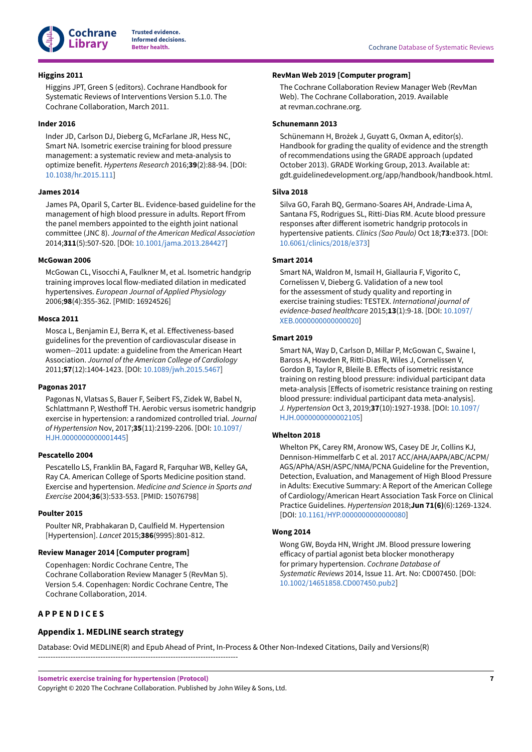

#### <span id="page-8-13"></span>**Higgins 2011**

Higgins JPT, Green S (editors). Cochrane Handbook for Systematic Reviews of Interventions Version 5.1.0. The Cochrane Collaboration, March 2011.

# <span id="page-8-8"></span>**Inder 2016**

Inder JD, Carlson DJ, Dieberg G, McFarlane JR, Hess NC, Smart NA. Isometric exercise training for blood pressure management: a systematic review and meta-analysis to optimize benefit. *Hypertens Research* 2016;**39**(2):88-94. [DOI: [10.1038/hr.2015.111\]](https://doi.org/10.1038%2Fhr.2015.111)

#### <span id="page-8-2"></span>**James 2014**

James PA, Oparil S, Carter BL. Evidence-based guideline for the management of high blood pressure in adults. Report fFrom the panel members appointed to the eighth joint national committee (JNC 8). *Journal of the American Medical Association* 2014;**311**(5):507-520. [DOI: [10.1001/jama.2013.284427](https://doi.org/10.1001%2Fjama.2013.284427)]

#### <span id="page-8-9"></span>**McGowan 2006**

McGowan CL, Visocchi A, Faulkner M, et al. Isometric handgrip training improves local flow-mediated dilation in medicated hypertensives. *European Journal of Applied Physiology* 2006;**98**(4):355-362. [PMID: 16924526]

#### <span id="page-8-5"></span>**Mosca 2011**

Mosca L, Benjamin EJ, Berra K, et al. Effectiveness-based guidelines for the prevention of cardiovascular disease in women--2011 update: a guideline from the American Heart Association. *Journal of the American College of Cardiology* 2011;**57**(12):1404-1423. [DOI: [10.1089/jwh.2015.5467\]](https://doi.org/10.1089%2Fjwh.2015.5467)

# <span id="page-8-10"></span>**Pagonas 2017**

Pagonas N, Vlatsas S, Bauer F, Seibert FS, Zidek W, Babel N, Schlattmann P, Westhoff TH. Aerobic versus isometric handgrip exercise in hypertension: a randomized controlled trial. *Journal of Hypertension* Nov, 2017;**35**(11):2199-2206. [DOI: [10.1097/](https://doi.org/10.1097%2FHJH.0000000000001445) [HJH.0000000000001445\]](https://doi.org/10.1097%2FHJH.0000000000001445)

#### <span id="page-8-4"></span>**Pescatello 2004**

Pescatello LS, Franklin BA, Fagard R, Farquhar WB, Kelley GA, Ray CA. American College of Sports Medicine position stand. Exercise and hypertension. *Medicine and Science in Sports and Exercise* 2004;**36**(3):533-553. [PMID: 15076798]

#### <span id="page-8-1"></span>**Poulter 2015**

Poulter NR, Prabhakaran D, Caulfield M. Hypertension [Hypertension]. *Lancet* 2015;**386**(9995):801-812.

# <span id="page-8-14"></span>**Review Manager 2014 [Computer program]**

Copenhagen: Nordic Cochrane Centre, The Cochrane Collaboration Review Manager 5 (RevMan 5). Version 5.4. Copenhagen: Nordic Cochrane Centre, The Cochrane Collaboration, 2014.

--------------------------------------------------------------------------------

# <span id="page-8-0"></span>**A P P E N D I C E S**

#### <span id="page-8-16"></span>**RevMan Web 2019 [Computer program]**

The Cochrane Collaboration Review Manager Web (RevMan Web). The Cochrane Collaboration, 2019. Available at revman.cochrane.org.

# <span id="page-8-17"></span>**Schunemann 2013**

Schünemann H, Brożek J, Guyatt G, Oxman A, editor(s). Handbook for grading the quality of evidence and the strength of recommendations using the GRADE approach (updated October 2013). GRADE Working Group, 2013. Available at: gdt.guidelinedevelopment.org/app/handbook/handbook.html.

#### <span id="page-8-11"></span>**Silva 2018**

Silva GO, Farah BQ, Germano-Soares AH, Andrade-Lima A, Santana FS, Rodrigues SL, Ritti-Dias RM. Acute blood pressure responses after different isometric handgrip protocols in hypertensive patients. *Clinics (Sao Paulo)* Oct 18;**73**:e373. [DOI: [10.6061/clinics/2018/e373](https://doi.org/10.6061%2Fclinics%2F2018%2Fe373)]

#### <span id="page-8-15"></span>**Smart 2014**

Smart NA, Waldron M, Ismail H, Giallauria F, Vigorito C, Cornelissen V, Dieberg G. Validation of a new tool for the assessment of study quality and reporting in exercise training studies: TESTEX. *International journal of evidence-based healthcare* 2015;**13**(1):9-18. [DOI: [10.1097/](https://doi.org/10.1097%2FXEB.0000000000000020) [XEB.0000000000000020\]](https://doi.org/10.1097%2FXEB.0000000000000020)

# <span id="page-8-6"></span>**Smart 2019**

Smart NA, Way D, Carlson D, Millar P, McGowan C, Swaine I, Baross A, Howden R, Ritti-Dias R, Wiles J, Cornelissen V, Gordon B, Taylor R, Bleile B. Effects of isometric resistance training on resting blood pressure: individual participant data meta-analysis [Effects of isometric resistance training on resting blood pressure: individual participant data meta-analysis]. *J. Hypertension* Oct 3, 2019;**37**(10):1927-1938. [DOI: [10.1097/](https://doi.org/10.1097%2FHJH.0000000000002105) [HJH.0000000000002105](https://doi.org/10.1097%2FHJH.0000000000002105)]

#### <span id="page-8-3"></span>**Whelton 2018**

Whelton PK, Carey RM, Aronow WS, Casey DE Jr, Collins KJ, Dennison-Himmelfarb C et al. 2017 ACC/AHA/AAPA/ABC/ACPM/ AGS/APhA/ASH/ASPC/NMA/PCNA Guideline for the Prevention, Detection, Evaluation, and Management of High Blood Pressure in Adults: Executive Summary: A Report of the American College of Cardiology/American Heart Association Task Force on Clinical Practice Guidelines. *Hypertension* 2018;**Jun 71(6)**(6):1269-1324. [DOI: 10.1161/HYP.00000000000000080]

#### <span id="page-8-7"></span>**Wong 2014**

Wong GW, Boyda HN, Wright JM. Blood pressure lowering efficacy of partial agonist beta blocker monotherapy for primary hypertension. *Cochrane Database of Systematic Reviews* 2014, Issue 11. Art. No: CD007450. [DOI: [10.1002/14651858.CD007450.pub2\]](https://doi.org/10.1002%2F14651858.CD007450.pub2)

# <span id="page-8-12"></span>**Appendix 1. MEDLINE search strategy**

Database: Ovid MEDLINE(R) and Epub Ahead of Print, In-Process & Other Non-Indexed Citations, Daily and Versions(R)

**Isometric exercise training for hypertension (Protocol)**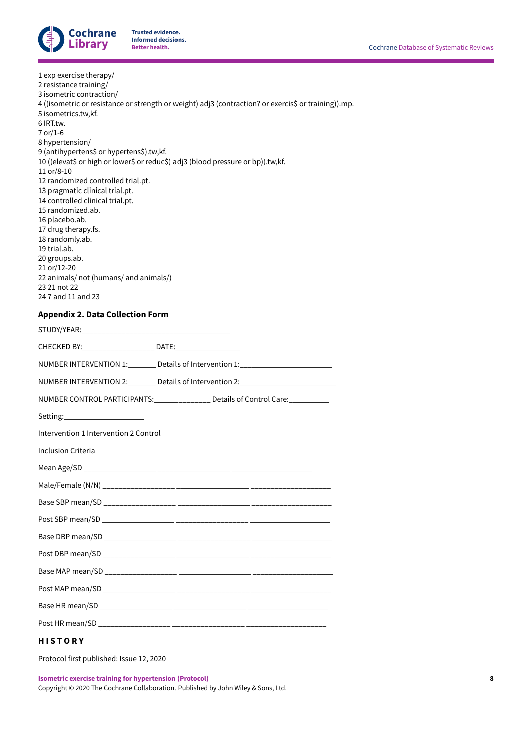

<span id="page-9-1"></span>

| 1 exp exercise therapy/<br>2 resistance training/<br>3 isometric contraction/<br>4 ((isometric or resistance or strength or weight) adj3 (contraction? or exercis\$ or training)).mp.<br>5 isometrics.tw,kf.<br>6 IRT.tw.<br>7 or/1-6<br>8 hypertension/<br>9 (antihypertens\$ or hypertens\$).tw,kf.<br>10 ((elevat\$ or high or lower\$ or reduc\$) adj3 (blood pressure or bp)).tw,kf.<br>11 or/8-10<br>12 randomized controlled trial.pt.<br>13 pragmatic clinical trial.pt.<br>14 controlled clinical trial.pt.<br>15 randomized.ab.<br>16 placebo.ab.<br>17 drug therapy.fs.<br>18 randomly.ab.<br>19 trial.ab.<br>20 groups.ab.<br>21 or/12-20<br>22 animals/ not (humans/ and animals/)<br>23 21 not 22<br>24 7 and 11 and 23 |
|---------------------------------------------------------------------------------------------------------------------------------------------------------------------------------------------------------------------------------------------------------------------------------------------------------------------------------------------------------------------------------------------------------------------------------------------------------------------------------------------------------------------------------------------------------------------------------------------------------------------------------------------------------------------------------------------------------------------------------------|
| <b>Appendix 2. Data Collection Form</b>                                                                                                                                                                                                                                                                                                                                                                                                                                                                                                                                                                                                                                                                                               |
|                                                                                                                                                                                                                                                                                                                                                                                                                                                                                                                                                                                                                                                                                                                                       |
| CHECKED BY: ____________________ DATE: __________________                                                                                                                                                                                                                                                                                                                                                                                                                                                                                                                                                                                                                                                                             |
| NUMBER INTERVENTION 1:_______ Details of Intervention 1:_______________________                                                                                                                                                                                                                                                                                                                                                                                                                                                                                                                                                                                                                                                       |
| NUMBER INTERVENTION 2:_______ Details of Intervention 2:________________________                                                                                                                                                                                                                                                                                                                                                                                                                                                                                                                                                                                                                                                      |
| NUMBER CONTROL PARTICIPANTS:______________ Details of Control Care:_________                                                                                                                                                                                                                                                                                                                                                                                                                                                                                                                                                                                                                                                          |
| Setting:______________________                                                                                                                                                                                                                                                                                                                                                                                                                                                                                                                                                                                                                                                                                                        |
| Intervention 1 Intervention 2 Control                                                                                                                                                                                                                                                                                                                                                                                                                                                                                                                                                                                                                                                                                                 |
| Inclusion Criteria                                                                                                                                                                                                                                                                                                                                                                                                                                                                                                                                                                                                                                                                                                                    |
| Mean Age/SD _<br>_________                                                                                                                                                                                                                                                                                                                                                                                                                                                                                                                                                                                                                                                                                                            |
|                                                                                                                                                                                                                                                                                                                                                                                                                                                                                                                                                                                                                                                                                                                                       |
|                                                                                                                                                                                                                                                                                                                                                                                                                                                                                                                                                                                                                                                                                                                                       |
|                                                                                                                                                                                                                                                                                                                                                                                                                                                                                                                                                                                                                                                                                                                                       |
|                                                                                                                                                                                                                                                                                                                                                                                                                                                                                                                                                                                                                                                                                                                                       |
|                                                                                                                                                                                                                                                                                                                                                                                                                                                                                                                                                                                                                                                                                                                                       |
|                                                                                                                                                                                                                                                                                                                                                                                                                                                                                                                                                                                                                                                                                                                                       |
|                                                                                                                                                                                                                                                                                                                                                                                                                                                                                                                                                                                                                                                                                                                                       |
|                                                                                                                                                                                                                                                                                                                                                                                                                                                                                                                                                                                                                                                                                                                                       |
|                                                                                                                                                                                                                                                                                                                                                                                                                                                                                                                                                                                                                                                                                                                                       |
| <b>HISTORY</b>                                                                                                                                                                                                                                                                                                                                                                                                                                                                                                                                                                                                                                                                                                                        |

<span id="page-9-0"></span>Protocol first published: Issue 12, 2020

**Isometric exercise training for hypertension (Protocol)**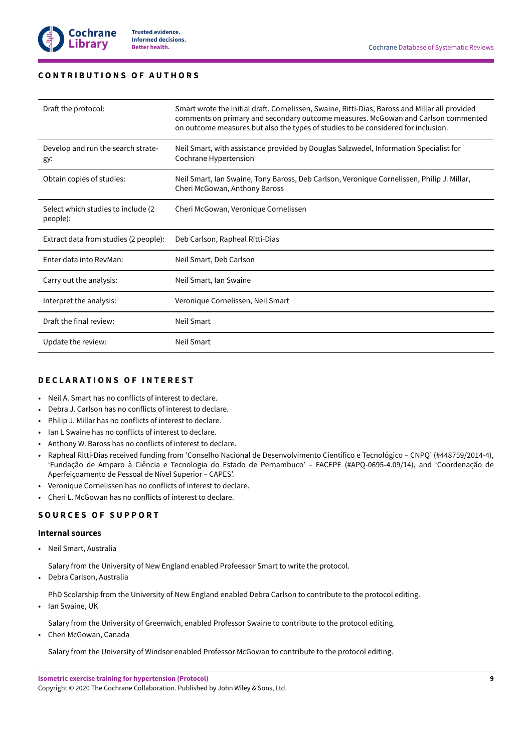# <span id="page-10-0"></span>**C O N T R I B U T I O N S O F A U T H O R S**

| Draft the protocol:                             | Smart wrote the initial draft. Cornelissen, Swaine, Ritti-Dias, Baross and Millar all provided<br>comments on primary and secondary outcome measures. McGowan and Carlson commented<br>on outcome measures but also the types of studies to be considered for inclusion. |
|-------------------------------------------------|--------------------------------------------------------------------------------------------------------------------------------------------------------------------------------------------------------------------------------------------------------------------------|
| Develop and run the search strate-<br>gy:       | Neil Smart, with assistance provided by Douglas Salzwedel, Information Specialist for<br>Cochrane Hypertension                                                                                                                                                           |
| Obtain copies of studies:                       | Neil Smart, Ian Swaine, Tony Baross, Deb Carlson, Veronique Cornelissen, Philip J. Millar,<br>Cheri McGowan, Anthony Baross                                                                                                                                              |
| Select which studies to include (2)<br>people): | Cheri McGowan, Veronique Cornelissen                                                                                                                                                                                                                                     |
| Extract data from studies (2 people):           | Deb Carlson, Rapheal Ritti-Dias                                                                                                                                                                                                                                          |
| Enter data into RevMan:                         | Neil Smart, Deb Carlson                                                                                                                                                                                                                                                  |
| Carry out the analysis:                         | Neil Smart, Ian Swaine                                                                                                                                                                                                                                                   |
| Interpret the analysis:                         | Veronique Cornelissen, Neil Smart                                                                                                                                                                                                                                        |
| Draft the final review:                         | Neil Smart                                                                                                                                                                                                                                                               |
| Update the review:                              | Neil Smart                                                                                                                                                                                                                                                               |

# <span id="page-10-1"></span>**D E C L A R A T I O N S O F I N T E R E S T**

- Neil A. Smart has no conflicts of interest to declare.
- Debra J. Carlson has no conflicts of interest to declare.
- Philip J. Millar has no conflicts of interest to declare.
- Ian L Swaine has no conflicts of interest to declare.
- Anthony W. Baross has no conflicts of interest to declare.
- Rapheal Ritti-Dias received funding from 'Conselho Nacional de Desenvolvimento Científico e Tecnológico CNPQ' (#448759/2014-4), 'Fundação de Amparo à Ciência e Tecnologia do Estado de Pernambuco' – FACEPE (#APQ-0695-4.09/14), and 'Coordenação de Aperfeiçoamento de Pessoal de Nível Superior – CAPES'.
- Veronique Cornelissen has no conflicts of interest to declare.
- Cheri L. McGowan has no conflicts of interest to declare.

# <span id="page-10-2"></span>**S O U R C E S O F S U P P O R T**

# **Internal sources**

• Neil Smart, Australia

Salary from the University of New England enabled Profeessor Smart to write the protocol.

• Debra Carlson, Australia

PhD Scolarship from the University of New England enabled Debra Carlson to contribute to the protocol editing.

• Ian Swaine, UK

Salary from the University of Greenwich, enabled Professor Swaine to contribute to the protocol editing.

• Cheri McGowan, Canada

Salary from the University of Windsor enabled Professor McGowan to contribute to the protocol editing.

Copyright © 2020 The Cochrane Collaboration. Published by John Wiley & Sons, Ltd.